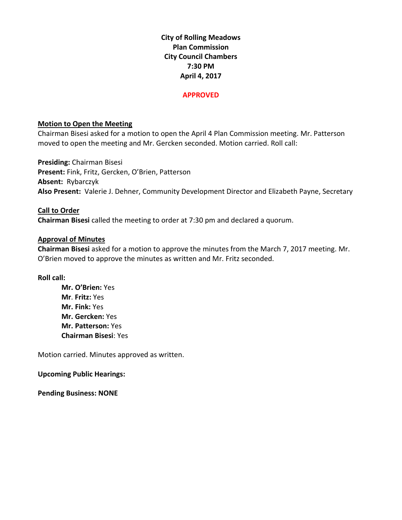**City of Rolling Meadows Plan Commission City Council Chambers 7:30 PM April 4, 2017**

#### **APPROVED**

## **Motion to Open the Meeting**

Chairman Bisesi asked for a motion to open the April 4 Plan Commission meeting. Mr. Patterson moved to open the meeting and Mr. Gercken seconded. Motion carried. Roll call:

**Presiding:** Chairman Bisesi **Present:** Fink, Fritz, Gercken, O'Brien, Patterson **Absent:** Rybarczyk **Also Present:** Valerie J. Dehner, Community Development Director and Elizabeth Payne, Secretary

# **Call to Order Chairman Bisesi** called the meeting to order at 7:30 pm and declared a quorum.

## **Approval of Minutes**

**Chairman Bisesi** asked for a motion to approve the minutes from the March 7, 2017 meeting. Mr. O'Brien moved to approve the minutes as written and Mr. Fritz seconded.

## **Roll call:**

**Mr. O'Brien:** Yes **Mr**. **Fritz:** Yes **Mr. Fink:** Yes **Mr. Gercken:** Yes **Mr. Patterson:** Yes **Chairman Bisesi**: Yes

Motion carried. Minutes approved as written.

#### **Upcoming Public Hearings:**

**Pending Business: NONE**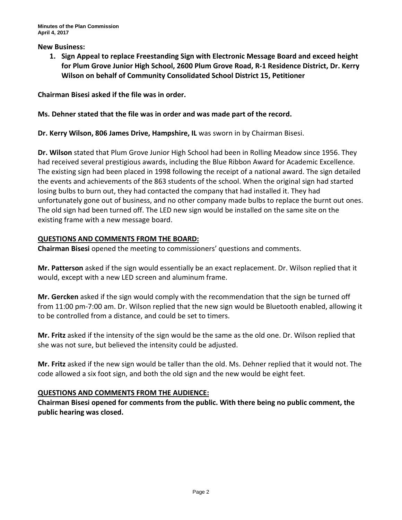#### **New Business:**

**1. Sign Appeal to replace Freestanding Sign with Electronic Message Board and exceed height for Plum Grove Junior High School, 2600 Plum Grove Road, R-1 Residence District, Dr. Kerry Wilson on behalf of Community Consolidated School District 15, Petitioner**

**Chairman Bisesi asked if the file was in order.**

# **Ms. Dehner stated that the file was in order and was made part of the record.**

**Dr. Kerry Wilson, 806 James Drive, Hampshire, IL** was sworn in by Chairman Bisesi.

**Dr. Wilson** stated that Plum Grove Junior High School had been in Rolling Meadow since 1956. They had received several prestigious awards, including the Blue Ribbon Award for Academic Excellence. The existing sign had been placed in 1998 following the receipt of a national award. The sign detailed the events and achievements of the 863 students of the school. When the original sign had started losing bulbs to burn out, they had contacted the company that had installed it. They had unfortunately gone out of business, and no other company made bulbs to replace the burnt out ones. The old sign had been turned off. The LED new sign would be installed on the same site on the existing frame with a new message board.

# **QUESTIONS AND COMMENTS FROM THE BOARD:**

**Chairman Bisesi** opened the meeting to commissioners' questions and comments.

**Mr. Patterson** asked if the sign would essentially be an exact replacement. Dr. Wilson replied that it would, except with a new LED screen and aluminum frame.

**Mr. Gercken** asked if the sign would comply with the recommendation that the sign be turned off from 11:00 pm-7:00 am. Dr. Wilson replied that the new sign would be Bluetooth enabled, allowing it to be controlled from a distance, and could be set to timers.

**Mr. Fritz** asked if the intensity of the sign would be the same as the old one. Dr. Wilson replied that she was not sure, but believed the intensity could be adjusted.

**Mr. Fritz** asked if the new sign would be taller than the old. Ms. Dehner replied that it would not. The code allowed a six foot sign, and both the old sign and the new would be eight feet.

## **QUESTIONS AND COMMENTS FROM THE AUDIENCE:**

**Chairman Bisesi opened for comments from the public. With there being no public comment, the public hearing was closed.**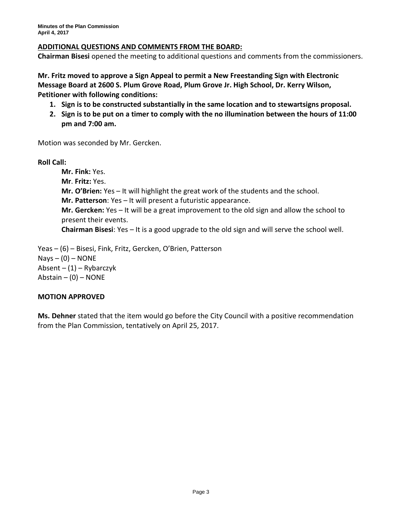# **ADDITIONAL QUESTIONS AND COMMENTS FROM THE BOARD:**

**Chairman Bisesi** opened the meeting to additional questions and comments from the commissioners.

**Mr. Fritz moved to approve a Sign Appeal to permit a New Freestanding Sign with Electronic Message Board at 2600 S. Plum Grove Road, Plum Grove Jr. High School, Dr. Kerry Wilson, Petitioner with following conditions:**

- **1. Sign is to be constructed substantially in the same location and to stewartsigns proposal.**
- **2. Sign is to be put on a timer to comply with the no illumination between the hours of 11:00 pm and 7:00 am.**

Motion was seconded by Mr. Gercken.

**Roll Call:**

**Mr. Fink:** Yes. **Mr**. **Fritz:** Yes. **Mr. O'Brien:** Yes – It will highlight the great work of the students and the school. **Mr. Patterson**: Yes – It will present a futuristic appearance. **Mr. Gercken:** Yes – It will be a great improvement to the old sign and allow the school to present their events. **Chairman Bisesi**: Yes – It is a good upgrade to the old sign and will serve the school well.

Yeas – (6) – Bisesi, Fink, Fritz, Gercken, O'Brien, Patterson  $Nays - (0) - NONE$ Absent – (1) – Rybarczyk Abstain  $-$  (0)  $-$  NONE

## **MOTION APPROVED**

**Ms. Dehner** stated that the item would go before the City Council with a positive recommendation from the Plan Commission, tentatively on April 25, 2017.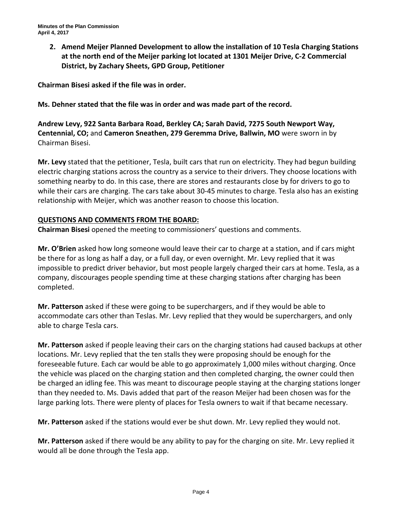**2. Amend Meijer Planned Development to allow the installation of 10 Tesla Charging Stations at the north end of the Meijer parking lot located at 1301 Meijer Drive, C-2 Commercial District, by Zachary Sheets, GPD Group, Petitioner**

**Chairman Bisesi asked if the file was in order.**

**Ms. Dehner stated that the file was in order and was made part of the record.**

**Andrew Levy, 922 Santa Barbara Road, Berkley CA; Sarah David, 7275 South Newport Way, Centennial, CO;** and **Cameron Sneathen, 279 Geremma Drive, Ballwin, MO** were sworn in by Chairman Bisesi.

**Mr. Levy** stated that the petitioner, Tesla, built cars that run on electricity. They had begun building electric charging stations across the country as a service to their drivers. They choose locations with something nearby to do. In this case, there are stores and restaurants close by for drivers to go to while their cars are charging. The cars take about 30-45 minutes to charge. Tesla also has an existing relationship with Meijer, which was another reason to choose this location.

# **QUESTIONS AND COMMENTS FROM THE BOARD:**

**Chairman Bisesi** opened the meeting to commissioners' questions and comments.

**Mr. O'Brien** asked how long someone would leave their car to charge at a station, and if cars might be there for as long as half a day, or a full day, or even overnight. Mr. Levy replied that it was impossible to predict driver behavior, but most people largely charged their cars at home. Tesla, as a company, discourages people spending time at these charging stations after charging has been completed.

**Mr. Patterson** asked if these were going to be superchargers, and if they would be able to accommodate cars other than Teslas. Mr. Levy replied that they would be superchargers, and only able to charge Tesla cars.

**Mr. Patterson** asked if people leaving their cars on the charging stations had caused backups at other locations. Mr. Levy replied that the ten stalls they were proposing should be enough for the foreseeable future. Each car would be able to go approximately 1,000 miles without charging. Once the vehicle was placed on the charging station and then completed charging, the owner could then be charged an idling fee. This was meant to discourage people staying at the charging stations longer than they needed to. Ms. Davis added that part of the reason Meijer had been chosen was for the large parking lots. There were plenty of places for Tesla owners to wait if that became necessary.

**Mr. Patterson** asked if the stations would ever be shut down. Mr. Levy replied they would not.

**Mr. Patterson** asked if there would be any ability to pay for the charging on site. Mr. Levy replied it would all be done through the Tesla app.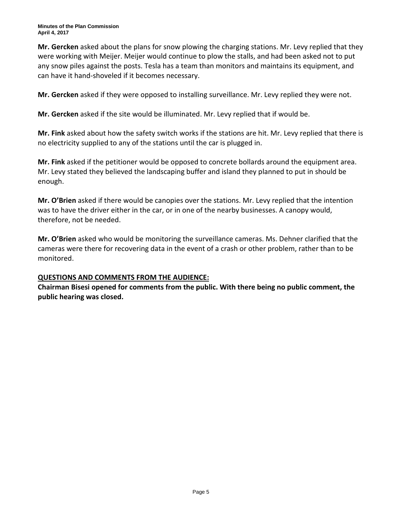**Mr. Gercken** asked about the plans for snow plowing the charging stations. Mr. Levy replied that they were working with Meijer. Meijer would continue to plow the stalls, and had been asked not to put any snow piles against the posts. Tesla has a team than monitors and maintains its equipment, and can have it hand-shoveled if it becomes necessary.

**Mr. Gercken** asked if they were opposed to installing surveillance. Mr. Levy replied they were not.

**Mr. Gercken** asked if the site would be illuminated. Mr. Levy replied that if would be.

**Mr. Fink** asked about how the safety switch works if the stations are hit. Mr. Levy replied that there is no electricity supplied to any of the stations until the car is plugged in.

**Mr. Fink** asked if the petitioner would be opposed to concrete bollards around the equipment area. Mr. Levy stated they believed the landscaping buffer and island they planned to put in should be enough.

**Mr. O'Brien** asked if there would be canopies over the stations. Mr. Levy replied that the intention was to have the driver either in the car, or in one of the nearby businesses. A canopy would, therefore, not be needed.

**Mr. O'Brien** asked who would be monitoring the surveillance cameras. Ms. Dehner clarified that the cameras were there for recovering data in the event of a crash or other problem, rather than to be monitored.

# **QUESTIONS AND COMMENTS FROM THE AUDIENCE:**

**Chairman Bisesi opened for comments from the public. With there being no public comment, the public hearing was closed.**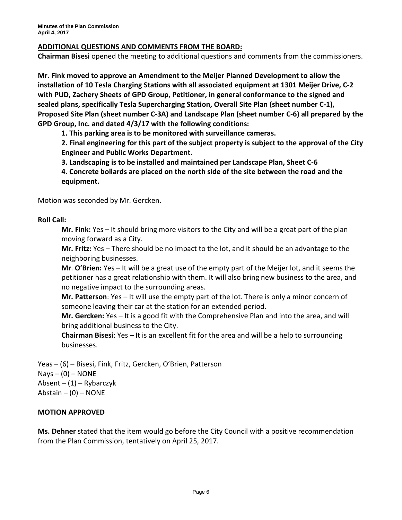# **ADDITIONAL QUESTIONS AND COMMENTS FROM THE BOARD:**

**Chairman Bisesi** opened the meeting to additional questions and comments from the commissioners.

**Mr. Fink moved to approve an Amendment to the Meijer Planned Development to allow the installation of 10 Tesla Charging Stations with all associated equipment at 1301 Meijer Drive, C-2 with PUD, Zachery Sheets of GPD Group, Petitioner, in general conformance to the signed and sealed plans, specifically Tesla Supercharging Station, Overall Site Plan (sheet number C-1), Proposed Site Plan (sheet number C-3A) and Landscape Plan (sheet number C-6) all prepared by the GPD Group, Inc. and dated 4/3/17 with the following conditions:**

**1. This parking area is to be monitored with surveillance cameras.**

**2. Final engineering for this part of the subject property is subject to the approval of the City Engineer and Public Works Department.**

**3. Landscaping is to be installed and maintained per Landscape Plan, Sheet C-6**

**4. Concrete bollards are placed on the north side of the site between the road and the equipment.**

Motion was seconded by Mr. Gercken.

#### **Roll Call:**

**Mr. Fink:** Yes – It should bring more visitors to the City and will be a great part of the plan moving forward as a City.

**Mr. Fritz:** Yes – There should be no impact to the lot, and it should be an advantage to the neighboring businesses.

**Mr**. **O'Brien:** Yes – It will be a great use of the empty part of the Meijer lot, and it seems the petitioner has a great relationship with them. It will also bring new business to the area, and no negative impact to the surrounding areas.

**Mr. Patterson**: Yes – It will use the empty part of the lot. There is only a minor concern of someone leaving their car at the station for an extended period.

**Mr. Gercken:** Yes – It is a good fit with the Comprehensive Plan and into the area, and will bring additional business to the City.

**Chairman Bisesi**: Yes – It is an excellent fit for the area and will be a help to surrounding businesses.

Yeas – (6) – Bisesi, Fink, Fritz, Gercken, O'Brien, Patterson  $Nays - (0) - NONE$ Absent –  $(1)$  – Rybarczyk Abstain  $-$  (0)  $-$  NONE

## **MOTION APPROVED**

**Ms. Dehner** stated that the item would go before the City Council with a positive recommendation from the Plan Commission, tentatively on April 25, 2017.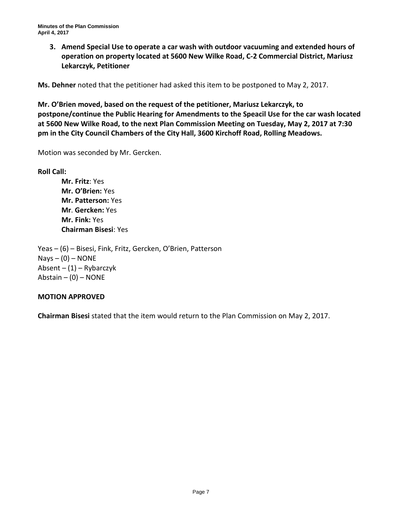**3. Amend Special Use to operate a car wash with outdoor vacuuming and extended hours of operation on property located at 5600 New Wilke Road, C-2 Commercial District, Mariusz Lekarczyk, Petitioner**

**Ms. Dehner** noted that the petitioner had asked this item to be postponed to May 2, 2017.

**Mr. O'Brien moved, based on the request of the petitioner, Mariusz Lekarczyk, to postpone/continue the Public Hearing for Amendments to the Speacil Use for the car wash located at 5600 New Wilke Road, to the next Plan Commission Meeting on Tuesday, May 2, 2017 at 7:30 pm in the City Council Chambers of the City Hall, 3600 Kirchoff Road, Rolling Meadows.**

Motion was seconded by Mr. Gercken.

**Roll Call:**

**Mr. Fritz**: Yes **Mr. O'Brien:** Yes **Mr. Patterson:** Yes **Mr**. **Gercken:** Yes **Mr. Fink:** Yes **Chairman Bisesi**: Yes

Yeas – (6) – Bisesi, Fink, Fritz, Gercken, O'Brien, Patterson  $Nays - (0) - NONE$ Absent – (1) – Rybarczyk Abstain  $-$  (0)  $-$  NONE

## **MOTION APPROVED**

**Chairman Bisesi** stated that the item would return to the Plan Commission on May 2, 2017.